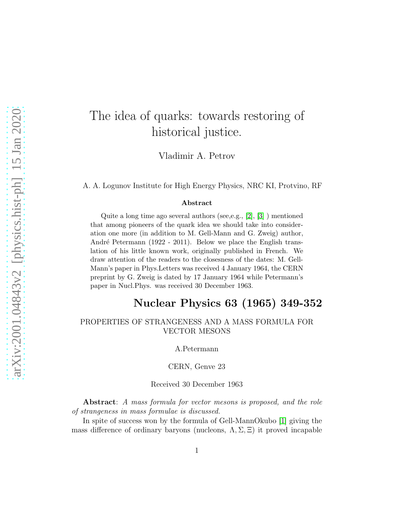## The idea of quarks: towards restoring of historical justice.

Vladimir A. Petrov

A. A. Logunov Institute for High Energy Physics, NRC KI, Protvino, RF

## Abstract

Quite a long time ago several authors (see,e.g., [\[2\]](#page-4-0), [\[3\]](#page-4-1) ) mentioned that among pioneers of the quark idea we should take into consideration one more (in addition to M. Gell-Mann and G. Zweig) author, André Petermann (1922 - 2011). Below we place the English translation of his little known work, originally published in French. We draw attention of the readers to the closesness of the dates: M. Gell-Mann's paper in Phys.Letters was received 4 January 1964, the CERN preprint by G. Zweig is dated by 17 January 1964 while Petermann's paper in Nucl.Phys. was received 30 December 1963.

## Nuclear Physics 63 (1965) 349-352

PROPERTIES OF STRANGENESS AND A MASS FORMULA FOR VECTOR MESONS

A.Petermann

CERN, Genve 23

Received 30 December 1963

Abstract: A mass formula for vector mesons is proposed, and the role of strangeness in mass formulae is discussed.

In spite of success won by the formula of Gell-MannOkubo [\[1\]](#page-4-2) giving the mass difference of ordinary baryons (nucleons,  $\Lambda$ ,  $\Sigma$ ,  $\Xi$ ) it proved incapable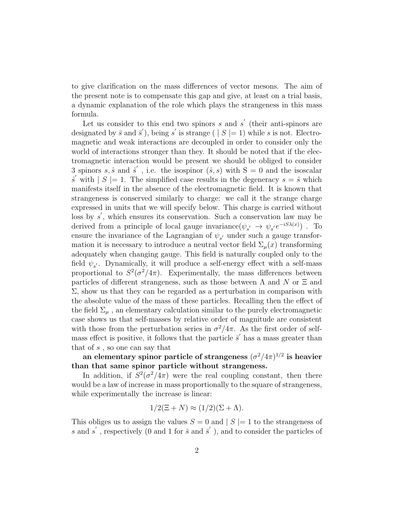to give clarification on the mass differences of vector mesons. The aim of the present note is to compensate this gap and give, at least on a trial basis, a dynamic explanation of the role which plays the strangeness in this mass formula.

Let us consider to this end two spinors  $s$  and  $s'$  (their anti-spinors are designated by  $\bar{s}$  and  $\bar{s}'$ ), being s' is strange ( | S |= 1) while s is not. Electromagnetic and weak interactions are decoupled in order to consider only the world of interactions stronger than they. It should be noted that if the electromagnetic interaction would be present we should be obliged to consider 3 spinors s,  $\hat{s}$  and  $\hat{s}'$ , i.e. the isospinor  $(\hat{s}, s)$  with  $S = 0$  and the isoscalar  $\hat{s}'$  with  $|S| = 1$ . The simplified case results in the degeneracy  $s = \hat{s}$  which manifests itself in the absence of the electromagnetic field. It is known that strangeness is conserved similarly to charge: we call it the strange charge expressed in units that we will specify below. This charge is carried without loss by s', which ensures its conservation. Such a conservation law may be derived from a principle of local gauge invariance  $(\psi_{s'} \to \psi_{s'} e^{-iS\lambda(x)})$ . To ensure the invariance of the Lagrangian of  $\psi_{s'}$  under such a gauge transformation it is necessary to introduce a neutral vector field  $\Sigma_u(x)$  transforming adequately when changing gauge. This field is naturally coupled only to the field  $\psi_{s'}$ . Dynamically, it will produce a self-energy effect with a self-mass proportional to  $S^2(\sigma^2/4\pi)$ . Experimentally, the mass differences between particles of different strangeness, such as those between  $\Lambda$  and  $N$  or  $\Xi$  and  $\Sigma$ , show us that they can be regarded as a perturbation in comparison with the absolute value of the mass of these particles. Recalling then the effect of the field  $\Sigma_{\mu}$ , an elementary calculation similar to the purely electromagnetic case shows us that self-masses by relative order of magnitude are consistent with those from the perturbation series in  $\sigma^2/4\pi$ . As the first order of selfmass effect is positive, it follows that the particle  $\vec{s}'$  has a mass greater than that of s , so one can say that

an elementary spinor particle of strangeness  $(\sigma^2/4\pi)^{1/2}$  is heavier than that same spinor particle without strangeness.

In addition, if  $S^2(\sigma^2/4\pi)$  were the real coupling constant, then there would be a law of increase in mass proportionally to the square of strangeness, while experimentally the increase is linear:

$$
1/2(\Xi + N) \approx (1/2)(\Sigma + \Lambda).
$$

This obliges us to assign the values  $S = 0$  and  $|S| = 1$  to the strangeness of s and s', respectively (0 and 1 for  $\bar{s}$  and  $\bar{s}'$ ), and to consider the particles of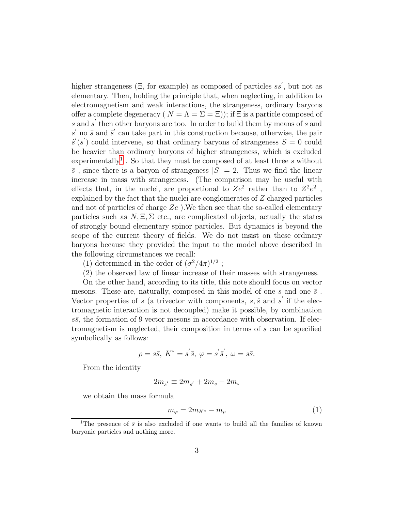higher strangeness ( $\Xi$ , for example) as composed of particles ss<sup>'</sup>, but not as elementary. Then, holding the principle that, when neglecting, in addition to electromagnetism and weak interactions, the strangeness, ordinary baryons offer a complete degeneracy ( $N = \Lambda = \Sigma = \Xi$ ); if  $\Xi$  is a particle composed of s and s' then other baryons are too. In order to build them by means of s and  $s'$  no  $\bar{s}$  and  $\bar{s}'$  can take part in this construction because, otherwise, the pair  $\hat{s}'(s')$  could intervene, so that ordinary baryons of strangeness  $S = 0$  could be heavier than ordinary baryons of higher strangeness, which is excluded experimentally<sup>[1](#page-2-0)</sup>. So that they must be composed of at least three s without  $\bar{s}$ , since there is a baryon of strangeness  $|S| = 2$ . Thus we find the linear increase in mass with strangeness. (The comparison may be useful with effects that, in the nuclei, are proportional to  $Ze^2$  rather than to  $Z^2e^2$ , explained by the fact that the nuclei are conglomerates of Z charged particles and not of particles of charge  $Ze$ . We then see that the so-called elementary particles such as  $N, \Xi, \Sigma$  etc., are complicated objects, actually the states of strongly bound elementary spinor particles. But dynamics is beyond the scope of the current theory of fields. We do not insist on these ordinary baryons because they provided the input to the model above described in the following circumstances we recall:

(1) determined in the order of  $(\sigma^2/4\pi)^{1/2}$ ;

(2) the observed law of linear increase of their masses with strangeness.

On the other hand, according to its title, this note should focus on vector mesons. These are, naturally, composed in this model of one s and one  $\bar{s}$ . Vector properties of s (a trivector with components,  $s, \hat{s}$  and s' if the electromagnetic interaction is not decoupled) make it possible, by combination  $s\bar{s}$ , the formation of 9 vector mesons in accordance with observation. If electromagnetism is neglected, their composition in terms of s can be specified symbolically as follows:

$$
\rho = s\bar{s}, \ K^* = s'\bar{s}, \ \varphi = s'\bar{s}', \ \omega = s\bar{s}.
$$

From the identity

$$
2m_{s'} \equiv 2m_{s'} + 2m_s - 2m_s
$$

we obtain the mass formula

$$
m_{\varphi} = 2m_{K^*} - m_{\rho} \tag{1}
$$

<span id="page-2-0"></span><sup>&</sup>lt;sup>1</sup>The presence of  $\bar{s}$  is also excluded if one wants to build all the families of known baryonic particles and nothing more.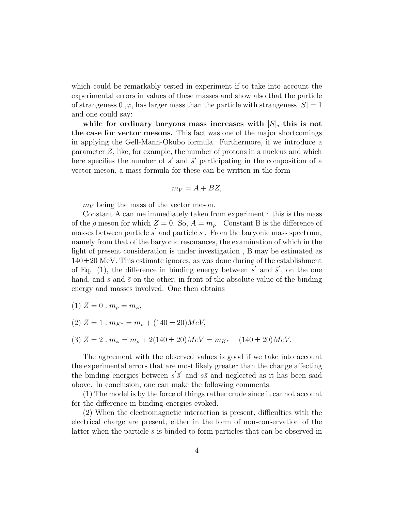which could be remarkably tested in experiment if to take into account the experimental errors in values of these masses and show also that the particle of strangeness  $0, \varphi$ , has larger mass than the particle with strangeness  $|S| = 1$ and one could say:

while for ordinary baryons mass increases with  $|S|$ , this is not the case for vector mesons. This fact was one of the major shortcomings in applying the Gell-Mann-Okubo formula. Furthermore, if we introduce a parameter Z, like, for example, the number of protons in a nucleus and which here specifies the number of  $s'$  and  $\bar{s}'$  participating in the composition of a vector meson, a mass formula for these can be written in the form

$$
m_V = A + BZ,
$$

 $m_V$  being the mass of the vector meson.

Constant A can me immediately taken from experiment : this is the mass of the  $\rho$  meson for which  $Z = 0$ . So,  $A = m_{\rho}$ . Constant B is the difference of masses between particle  $s'$  and particle  $s$ . From the baryonic mass spectrum, namely from that of the baryonic resonances, the examination of which in the light of present consideration is under investigation , B may be estimated as  $140\pm20$  MeV. This estimate ignores, as was done during of the establishment of Eq. (1), the difference in binding energy between  $s'$  and  $\overline{s}'$ , on the one hand, and s and  $\bar{s}$  on the other, in front of the absolute value of the binding energy and masses involved. One then obtains

$$
(1) Z = 0 : m_{\rho} = m_{\varphi},
$$

$$
(2) Z = 1 : m_{K^*} = m_\rho + (140 \pm 20) MeV,
$$

$$
(3) Z = 2 : m_{\varphi} = m_{\rho} + 2(140 \pm 20)MeV = m_{K^*} + (140 \pm 20)MeV.
$$

The agreement with the observed values is good if we take into account the experimental errors that are most likely greater than the change affecting the binding energies between  $s' \overline{s}'$  and  $s \overline{s}$  and neglected as it has been said above. In conclusion, one can make the following comments:

(1) The model is by the force of things rather crude since it cannot account for the difference in binding energies evoked.

(2) When the electromagnetic interaction is present, difficulties with the electrical charge are present, either in the form of non-conservation of the latter when the particle s is binded to form particles that can be observed in